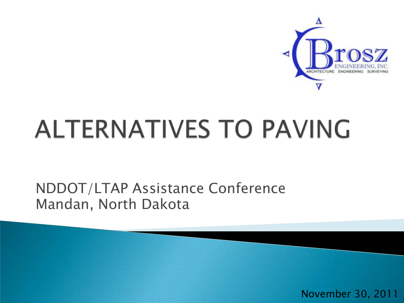

# **ALTERNATIVES TO PAVING**

NDDOT/LTAP Assistance Conference Mandan, North Dakota

November 30, 2011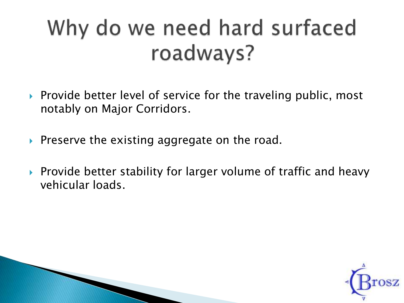### Why do we need hard surfaced roadways?

- $\triangleright$  Provide better level of service for the traveling public, most notably on Major Corridors.
- $\triangleright$  Preserve the existing aggregate on the road.
- ▶ Provide better stability for larger volume of traffic and heavy vehicular loads.

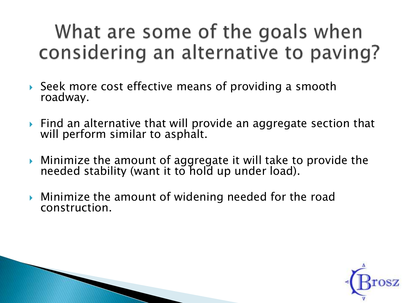#### What are some of the goals when considering an alternative to paving?

- ▶ Seek more cost effective means of providing a smooth roadway.
- Find an alternative that will provide an aggregate section that will perform similar to asphalt.
- Minimize the amount of aggregate it will take to provide the needed stability (want it to hold up under load).
- Minimize the amount of widening needed for the road construction.

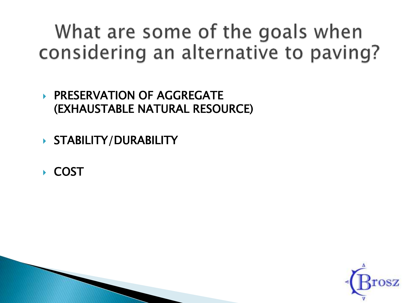What are some of the goals when considering an alternative to paving?

- PRESERVATION OF AGGREGATE (EXHAUSTABLE NATURAL RESOURCE)
- STABILITY/DURABILITY
- COST

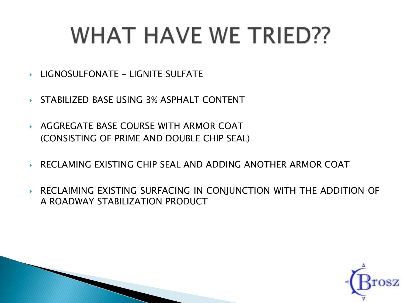## WHAT HAVE WE TRIED??

- LIGNOSULFONATE LIGNITE SULFATE
- **STABILIZED BASE USING 3% ASPHALT CONTENT**
- **AGGREGATE BASE COURSE WITH ARMOR COAT** (CONSISTING OF PRIME AND DOUBLE CHIP SEAL)
- RECLAMING EXISTING CHIP SEAL AND ADDING ANOTHER ARMOR COAT
- RECLAIMING EXISTING SURFACING IN CONJUNCTION WITH THE ADDITION OF A ROADWAY STABILIZATION PRODUCT

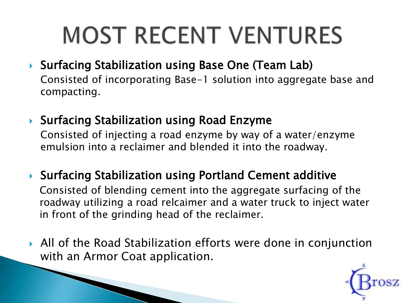## **MOST RECENT VENTURES**

#### ▶ Surfacing Stabilization using Base One (Team Lab) Consisted of incorporating Base-1 solution into aggregate base and compacting.

- ▶ Surfacing Stabilization using Road Enzyme Consisted of injecting a road enzyme by way of a water/enzyme emulsion into a reclaimer and blended it into the roadway.
- ▶ Surfacing Stabilization using Portland Cement additive

Consisted of blending cement into the aggregate surfacing of the roadway utilizing a road relcaimer and a water truck to inject water in front of the grinding head of the reclaimer.

▶ All of the Road Stabilization efforts were done in conjunction with an Armor Coat application.

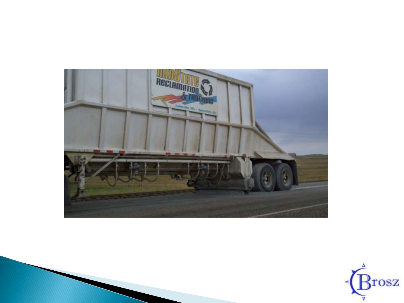

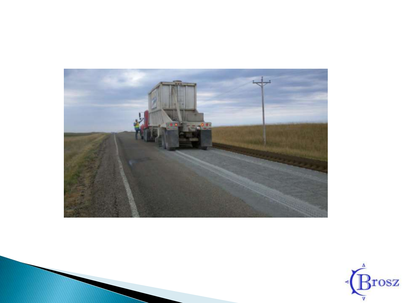

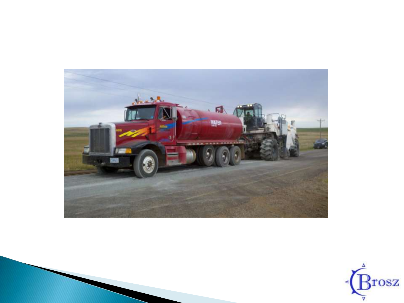

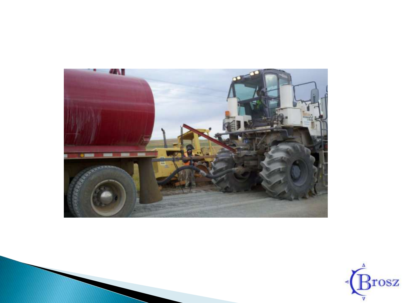

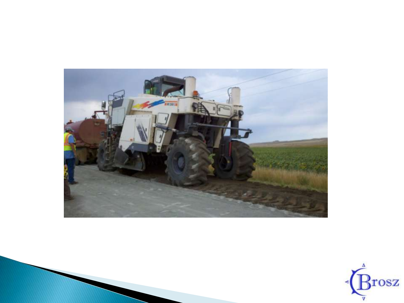

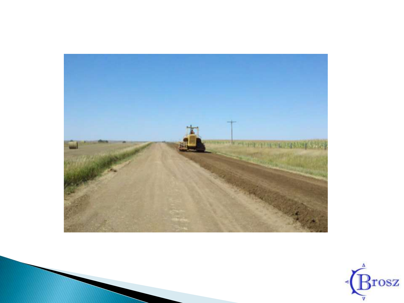

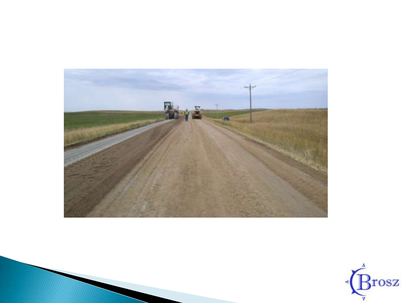

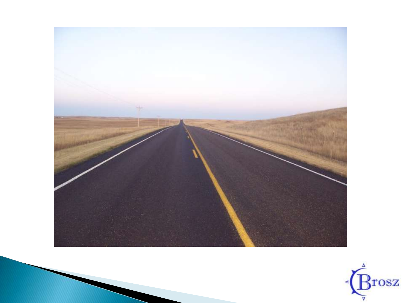

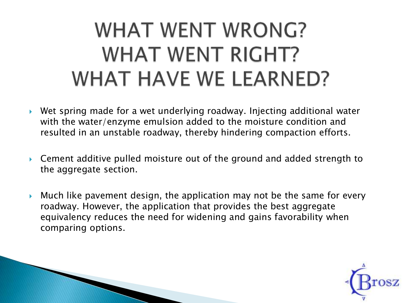#### **WHAT WENT WRONG? WHAT WENT RIGHT? WHAT HAVE WE LEARNED?**

- Wet spring made for a wet underlying roadway. Injecting additional water with the water/enzyme emulsion added to the moisture condition and resulted in an unstable roadway, thereby hindering compaction efforts.
- Cement additive pulled moisture out of the ground and added strength to the aggregate section.
- $\blacktriangleright$  Much like pavement design, the application may not be the same for every roadway. However, the application that provides the best aggregate equivalency reduces the need for widening and gains favorability when comparing options.

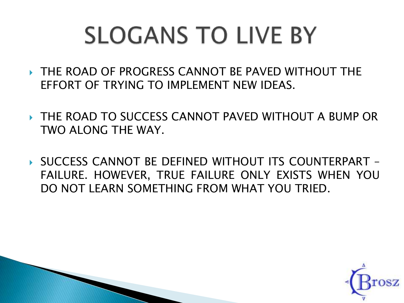# **SLOGANS TO LIVE BY**

- **THE ROAD OF PROGRESS CANNOT BE PAVED WITHOUT THE** EFFORT OF TRYING TO IMPLEMENT NEW IDEAS.
- THE ROAD TO SUCCESS CANNOT PAVED WITHOUT A BUMP OR TWO ALONG THE WAY.
- ▶ SUCCESS CANNOT BE DEFINED WITHOUT ITS COUNTERPART -FAILURE. HOWEVER, TRUE FAILURE ONLY EXISTS WHEN YOU DO NOT LEARN SOMETHING FROM WHAT YOU TRIED.